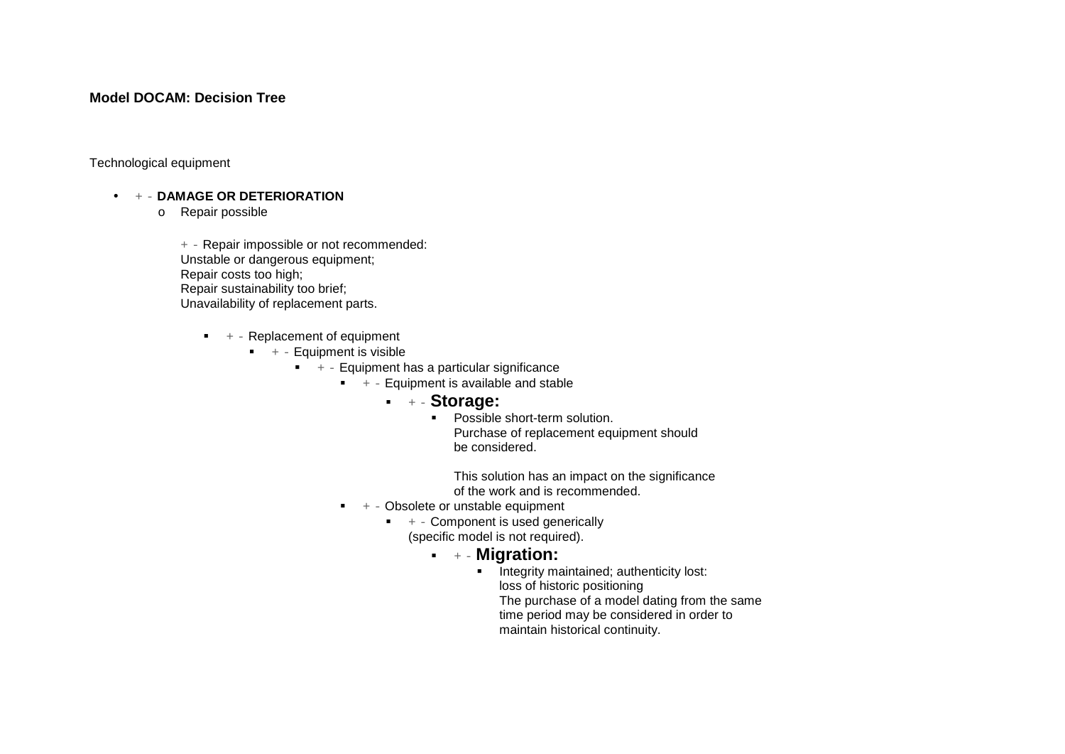#### **Model DOCAM: Decision Tree**

Technological equipment

• + - **DAMAGE OR DETERIORATION**

o Repair possible

+ - Repair impossible or not recommended: Unstable or dangerous equipment; Repair costs too high; Repair sustainability too brief; Unavailability of replacement parts.

- $+ -$  Replacement of equipment
	- $+ -$  Equipment is visible
		- $+ -$  Equipment has a particular significance
			- $+ -$  Equipment is available and stable
				- + **Storage:**
					- **Possible short-term solution.** Purchase of replacement equipment should be considered.

This solution has an impact on the significance of the work and is recommended.

- $+ -$  Obsolete or unstable equipment
	- $+ -$  Component is used generically (specific model is not required).
		- + **Migration:**
			- **Integrity maintained; authenticity lost:** loss of historic positioning The purchase of a model dating from the same time period may be considered in order to maintain historical continuity.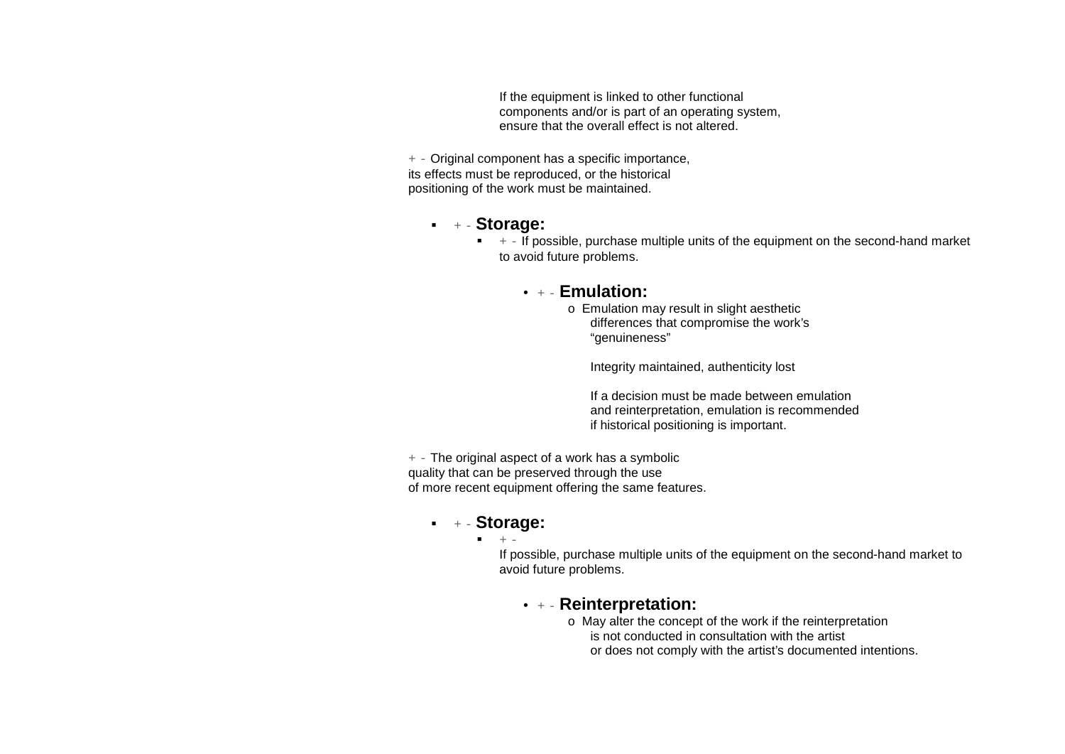If the equipment is linked to other functional components and/or is part of an operating system, ensure that the overall effect is not altered.

 $+$  - Original component has a specific importance, its effects must be reproduced, or the historical positioning of the work must be maintained.

## + - **Storage:**

 $\bullet$   $+$  - If possible, purchase multiple units of the equipment on the second-hand market to avoid future problems.

### • + - **Emulation:**

o Emulation may result in slight aesthetic differences that compromise the work's "genuineness"

Integrity maintained, authenticity lost

If a decision must be made between emulation and reinterpretation, emulation is recommended if historical positioning is important.

 $+$  - The original aspect of a work has a symbolic quality that can be preserved through the use of more recent equipment offering the same features.

# + - **Storage:**

 $+ -$ 

If possible, purchase multiple units of the equipment on the second-hand market to avoid future problems.

# • + - **Reinterpretation:**

o May alter the concept of the work if the reinterpretation is not conducted in consultation with the artist or does not comply with the artist's documented intentions.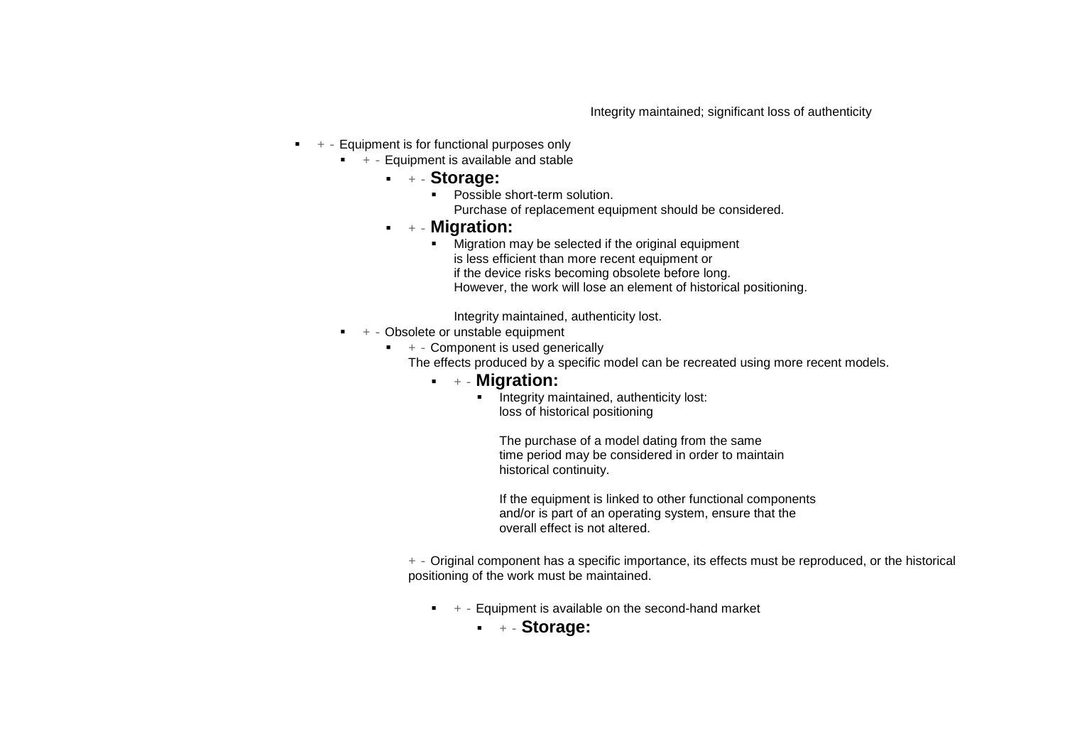Integrity maintained; significant loss of authenticity

- $+ -$  Equipment is for functional purposes only
	- $+ -$  Equipment is available and stable
		- + **Storage:**
			- **•** Possible short-term solution. Purchase of replacement equipment should be considered.
		- + **Migration:**
			- **Migration may be selected if the original equipment** is less efficient than more recent equipment or if the device risks becoming obsolete before long. However, the work will lose an element of historical positioning.

Integrity maintained, authenticity lost.

- $+$  Obsolete or unstable equipment
	- $+ -$  Component is used generically
		- The effects produced by a specific model can be recreated using more recent models.
			- + **Migration:**
				- **Integrity maintained, authenticity lost:** loss of historical positioning

The purchase of a model dating from the same time period may be considered in order to maintain historical continuity.

If the equipment is linked to other functional components and/or is part of an operating system, ensure that the overall effect is not altered.

+ - Original component has a specific importance, its effects must be reproduced, or the historical positioning of the work must be maintained.

- $+ -$  Equipment is available on the second-hand market
	- + **Storage:**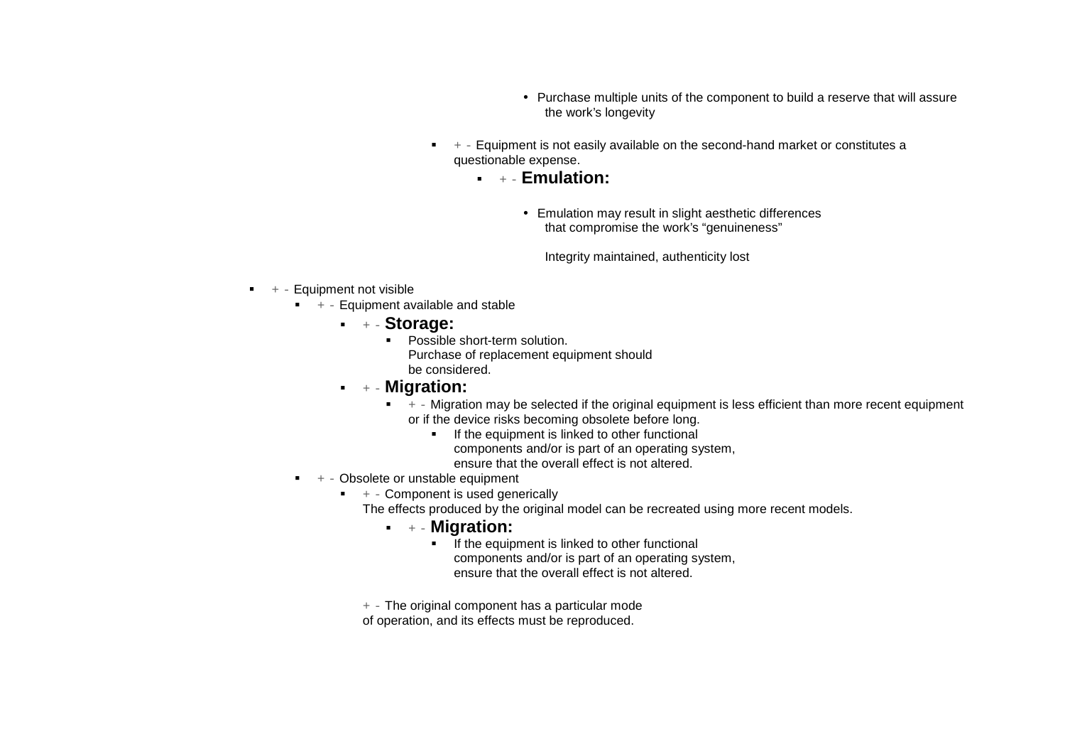- Purchase multiple units of the component to build a reserve that will assure the work's longevity
- $+$  Equipment is not easily available on the second-hand market or constitutes a questionable expense.
	- + **Emulation:**
		- Emulation may result in slight aesthetic differences that compromise the work's "genuineness"

Integrity maintained, authenticity lost

- $+ -$  Equipment not visible
	- $+ -$  Equipment available and stable
		- + **Storage:**
			- **Possible short-term solution.** Purchase of replacement equipment should be considered.
		- + **Migration:**
			- $+ -$  Migration may be selected if the original equipment is less efficient than more recent equipment or if the device risks becoming obsolete before long.
				- If the equipment is linked to other functional
					- components and/or is part of an operating system, ensure that the overall effect is not altered.
				-
	- $+ -$  Obsolete or unstable equipment
		- $+ -$  Component is used generically
			- The effects produced by the original model can be recreated using more recent models.
				- + **Migration:**
					- If the equipment is linked to other functional components and/or is part of an operating system, ensure that the overall effect is not altered.
			- $+$  The original component has a particular mode
			- of operation, and its effects must be reproduced.